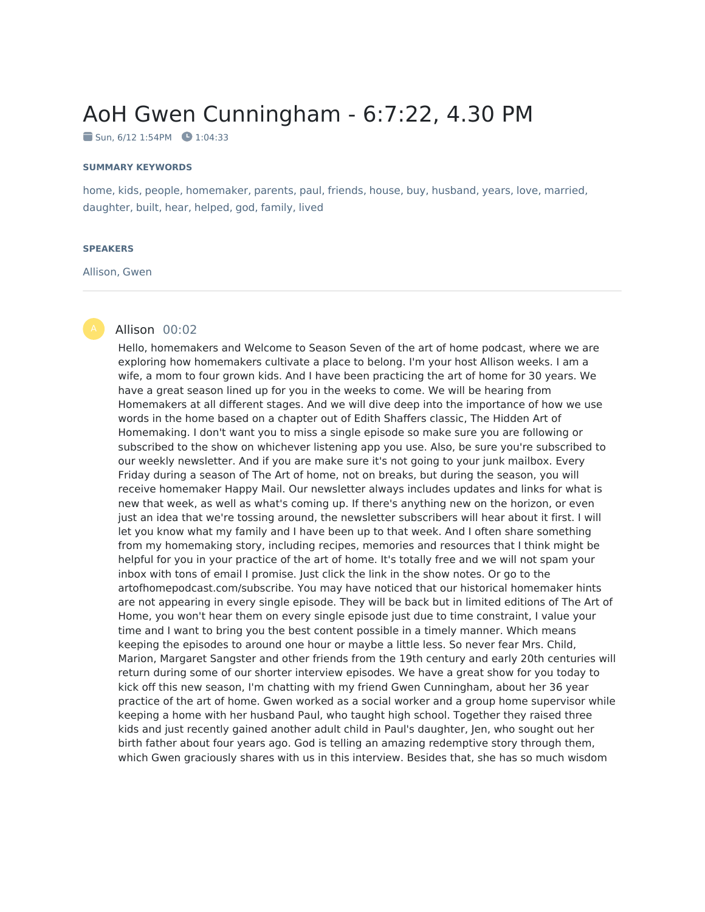# AoH Gwen Cunningham - 6:7:22, 4.30 PM

 $\blacksquare$  Sun, 6/12 1:54PM  $\blacksquare$  1:04:33

#### **SUMMARY KEYWORDS**

home, kids, people, homemaker, parents, paul, friends, house, buy, husband, years, love, married, daughter, built, hear, helped, god, family, lived

#### **SPEAKERS**

Allison, Gwen

# Allison 00:02

Hello, homemakers and Welcome to Season Seven of the art of home podcast, where we are exploring how homemakers cultivate a place to belong. I'm your host Allison weeks. I am a wife, a mom to four grown kids. And I have been practicing the art of home for 30 years. We have a great season lined up for you in the weeks to come. We will be hearing from Homemakers at all different stages. And we will dive deep into the importance of how we use words in the home based on a chapter out of Edith Shaffers classic, The Hidden Art of Homemaking. I don't want you to miss a single episode so make sure you are following or subscribed to the show on whichever listening app you use. Also, be sure you're subscribed to our weekly newsletter. And if you are make sure it's not going to your junk mailbox. Every Friday during a season of The Art of home, not on breaks, but during the season, you will receive homemaker Happy Mail. Our newsletter always includes updates and links for what is new that week, as well as what's coming up. If there's anything new on the horizon, or even just an idea that we're tossing around, the newsletter subscribers will hear about it first. I will let you know what my family and I have been up to that week. And I often share something from my homemaking story, including recipes, memories and resources that I think might be helpful for you in your practice of the art of home. It's totally free and we will not spam your inbox with tons of email I promise. Just click the link in the show notes. Or go to the artofhomepodcast.com/subscribe. You may have noticed that our historical homemaker hints are not appearing in every single episode. They will be back but in limited editions of The Art of Home, you won't hear them on every single episode just due to time constraint, I value your time and I want to bring you the best content possible in a timely manner. Which means keeping the episodes to around one hour or maybe a little less. So never fear Mrs. Child, Marion, Margaret Sangster and other friends from the 19th century and early 20th centuries will return during some of our shorter interview episodes. We have a great show for you today to kick off this new season, I'm chatting with my friend Gwen Cunningham, about her 36 year practice of the art of home. Gwen worked as a social worker and a group home supervisor while keeping a home with her husband Paul, who taught high school. Together they raised three kids and just recently gained another adult child in Paul's daughter, Jen, who sought out her birth father about four years ago. God is telling an amazing redemptive story through them, which Gwen graciously shares with us in this interview. Besides that, she has so much wisdom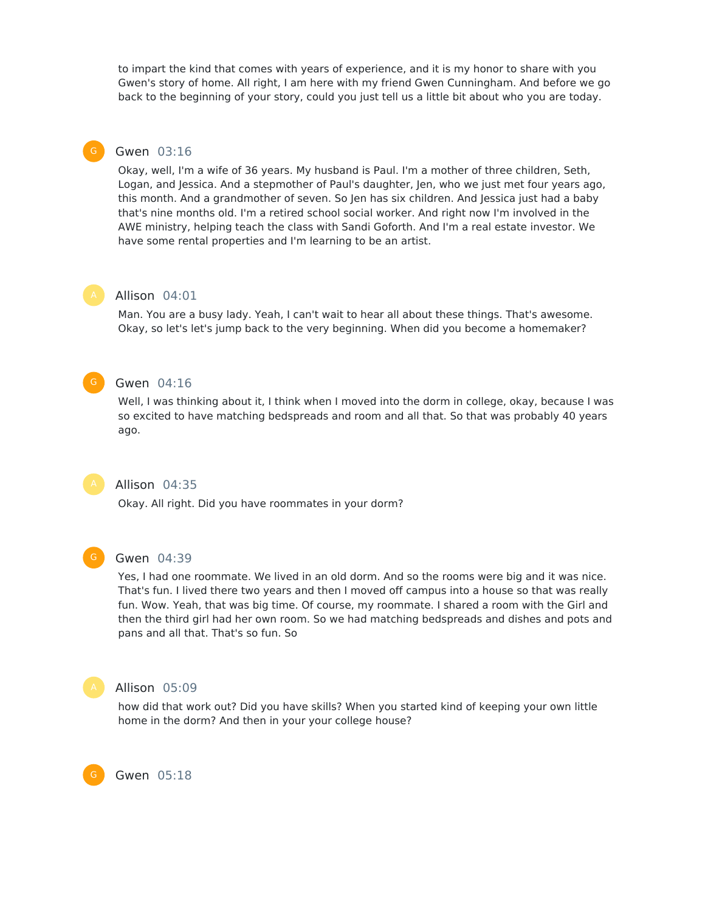to impart the kind that comes with years of experience, and it is my honor to share with you Gwen's story of home. All right, I am here with my friend Gwen Cunningham. And before we go back to the beginning of your story, could you just tell us a little bit about who you are today.

# Gwen 03:16

Okay, well, I'm a wife of 36 years. My husband is Paul. I'm a mother of three children, Seth, Logan, and Jessica. And a stepmother of Paul's daughter, Jen, who we just met four years ago, this month. And a grandmother of seven. So Jen has six children. And Jessica just had a baby that's nine months old. I'm a retired school social worker. And right now I'm involved in the AWE ministry, helping teach the class with Sandi Goforth. And I'm a real estate investor. We have some rental properties and I'm learning to be an artist.



# Allison 04:01

Man. You are a busy lady. Yeah, I can't wait to hear all about these things. That's awesome. Okay, so let's let's jump back to the very beginning. When did you become a homemaker?



#### Gwen 04:16

Well, I was thinking about it, I think when I moved into the dorm in college, okay, because I was so excited to have matching bedspreads and room and all that. So that was probably 40 years ago.



# Allison 04:35

Okay. All right. Did you have roommates in your dorm?



# Gwen 04:39

Yes, I had one roommate. We lived in an old dorm. And so the rooms were big and it was nice. That's fun. I lived there two years and then I moved off campus into a house so that was really fun. Wow. Yeah, that was big time. Of course, my roommate. I shared a room with the Girl and then the third girl had her own room. So we had matching bedspreads and dishes and pots and pans and all that. That's so fun. So



G

#### Allison 05:09

how did that work out? Did you have skills? When you started kind of keeping your own little home in the dorm? And then in your your college house?

Gwen 05:18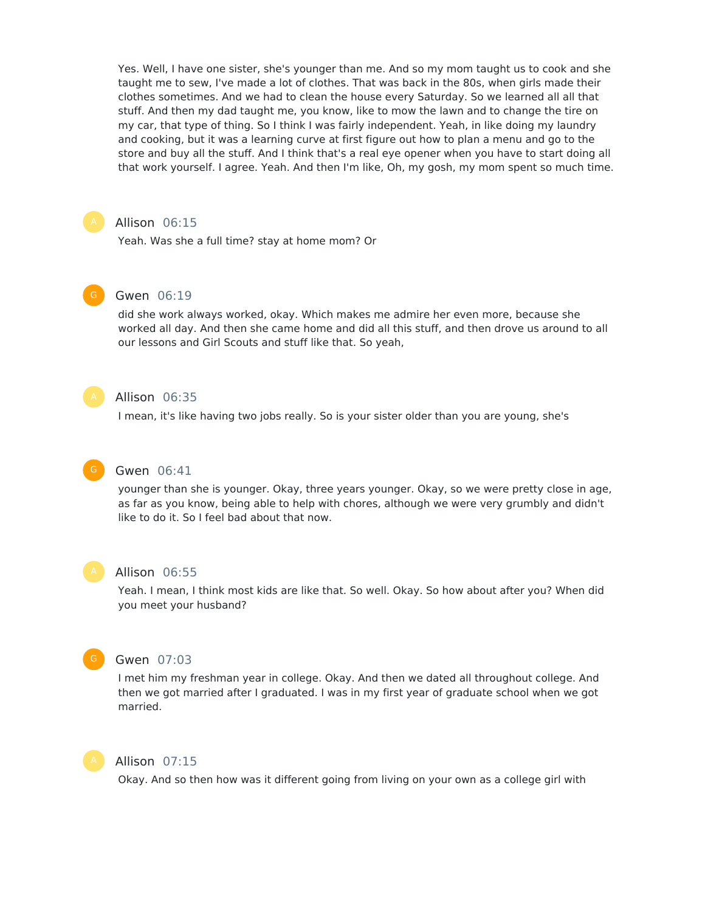Yes. Well, I have one sister, she's younger than me. And so my mom taught us to cook and she taught me to sew, I've made a lot of clothes. That was back in the 80s, when girls made their clothes sometimes. And we had to clean the house every Saturday. So we learned all all that stuff. And then my dad taught me, you know, like to mow the lawn and to change the tire on my car, that type of thing. So I think I was fairly independent. Yeah, in like doing my laundry and cooking, but it was a learning curve at first figure out how to plan a menu and go to the store and buy all the stuff. And I think that's a real eye opener when you have to start doing all that work yourself. I agree. Yeah. And then I'm like, Oh, my gosh, my mom spent so much time.



# Allison 06:15

Yeah. Was she a full time? stay at home mom? Or



# Gwen 06:19

did she work always worked, okay. Which makes me admire her even more, because she worked all day. And then she came home and did all this stuff, and then drove us around to all our lessons and Girl Scouts and stuff like that. So yeah,



# Allison 06:35

I mean, it's like having two jobs really. So is your sister older than you are young, she's

# Gwen 06:41

younger than she is younger. Okay, three years younger. Okay, so we were pretty close in age, as far as you know, being able to help with chores, although we were very grumbly and didn't like to do it. So I feel bad about that now.

#### Allison 06:55

Yeah. I mean, I think most kids are like that. So well. Okay. So how about after you? When did you meet your husband?



# Gwen 07:03

I met him my freshman year in college. Okay. And then we dated all throughout college. And then we got married after I graduated. I was in my first year of graduate school when we got married.



# Allison 07:15

Okay. And so then how was it different going from living on your own as a college girl with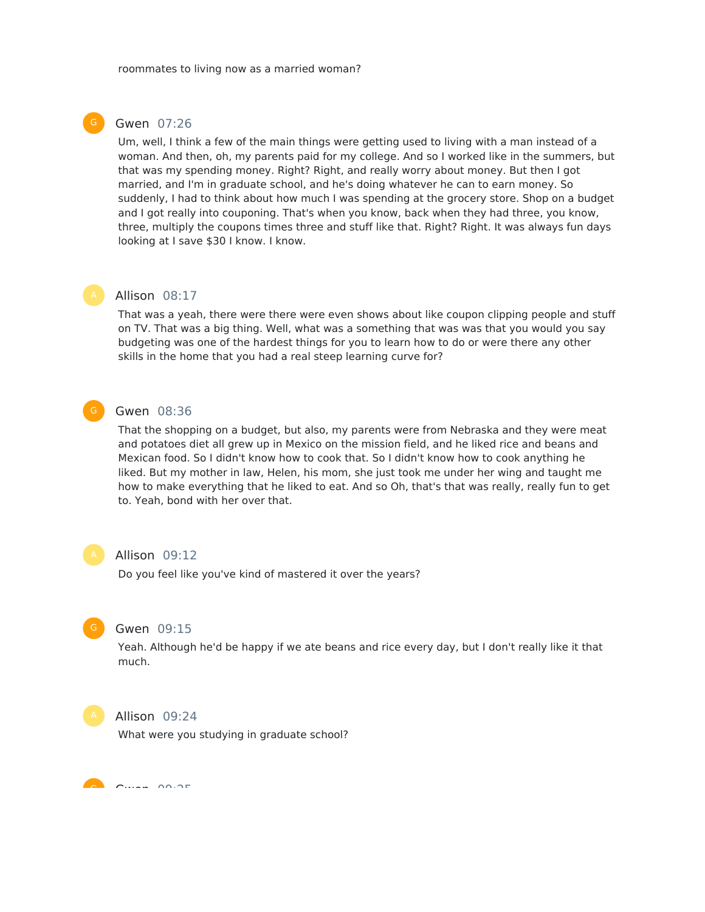# Gwen 07:26

Um, well, I think a few of the main things were getting used to living with a man instead of a woman. And then, oh, my parents paid for my college. And so I worked like in the summers, but that was my spending money. Right? Right, and really worry about money. But then I got married, and I'm in graduate school, and he's doing whatever he can to earn money. So suddenly, I had to think about how much I was spending at the grocery store. Shop on a budget and I got really into couponing. That's when you know, back when they had three, you know, three, multiply the coupons times three and stuff like that. Right? Right. It was always fun days looking at I save \$30 I know. I know.



# Allison 08:17

That was a yeah, there were there were even shows about like coupon clipping people and stuff on TV. That was a big thing. Well, what was a something that was was that you would you say budgeting was one of the hardest things for you to learn how to do or were there any other skills in the home that you had a real steep learning curve for?



# Gwen 08:36

That the shopping on a budget, but also, my parents were from Nebraska and they were meat and potatoes diet all grew up in Mexico on the mission field, and he liked rice and beans and Mexican food. So I didn't know how to cook that. So I didn't know how to cook anything he liked. But my mother in law, Helen, his mom, she just took me under her wing and taught me how to make everything that he liked to eat. And so Oh, that's that was really, really fun to get to. Yeah, bond with her over that.



#### Allison 09:12

Do you feel like you've kind of mastered it over the years?



#### Gwen 09:15

Yeah. Although he'd be happy if we ate beans and rice every day, but I don't really like it that much.



# Allison 09:24

What were you studying in graduate school?

 $\overline{a}$   $\overline{a}$   $\overline{a}$   $\overline{a}$   $\overline{a}$   $\overline{a}$   $\overline{a}$   $\overline{a}$   $\overline{a}$   $\overline{a}$   $\overline{a}$   $\overline{a}$   $\overline{a}$   $\overline{a}$   $\overline{a}$   $\overline{a}$   $\overline{a}$   $\overline{a}$   $\overline{a}$   $\overline{a}$   $\overline{a}$   $\overline{a}$   $\overline{a}$   $\overline{a}$   $\overline{$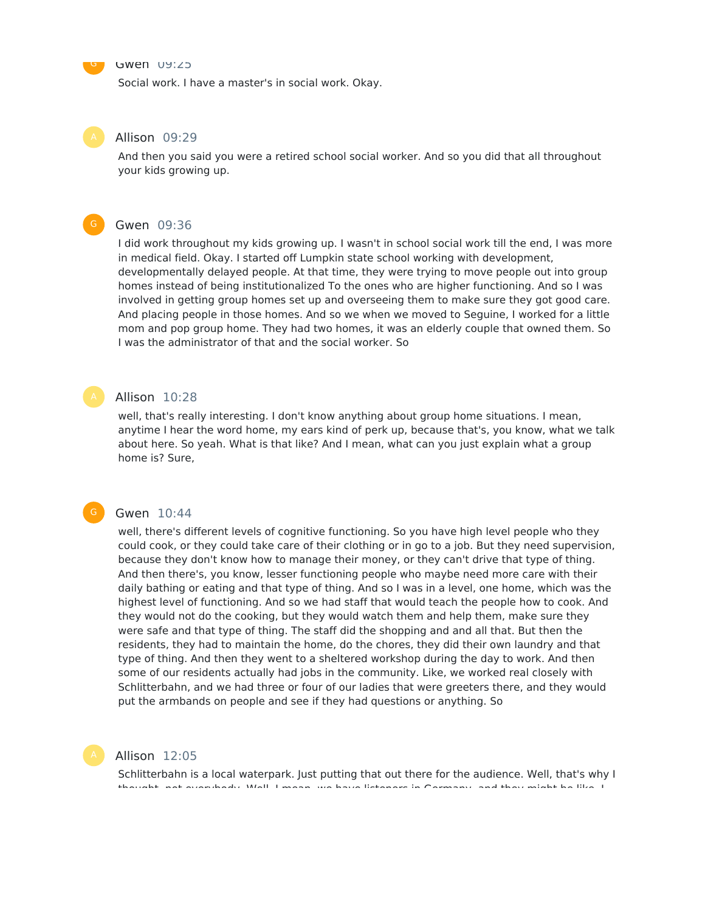

Social work. I have a master's in social work. Okay.

#### Allison 09:29

And then you said you were a retired school social worker. And so you did that all throughout your kids growing up.

### Gwen 09:36

I did work throughout my kids growing up. I wasn't in school social work till the end, I was more in medical field. Okay. I started off Lumpkin state school working with development, developmentally delayed people. At that time, they were trying to move people out into group homes instead of being institutionalized To the ones who are higher functioning. And so I was involved in getting group homes set up and overseeing them to make sure they got good care. And placing people in those homes. And so we when we moved to Seguine, I worked for a little mom and pop group home. They had two homes, it was an elderly couple that owned them. So I was the administrator of that and the social worker. So

# Allison 10:28

well, that's really interesting. I don't know anything about group home situations. I mean, anytime I hear the word home, my ears kind of perk up, because that's, you know, what we talk about here. So yeah. What is that like? And I mean, what can you just explain what a group home is? Sure,

#### Gwen 10:44

well, there's different levels of cognitive functioning. So you have high level people who they could cook, or they could take care of their clothing or in go to a job. But they need supervision, because they don't know how to manage their money, or they can't drive that type of thing. And then there's, you know, lesser functioning people who maybe need more care with their daily bathing or eating and that type of thing. And so I was in a level, one home, which was the highest level of functioning. And so we had staff that would teach the people how to cook. And they would not do the cooking, but they would watch them and help them, make sure they were safe and that type of thing. The staff did the shopping and and all that. But then the residents, they had to maintain the home, do the chores, they did their own laundry and that type of thing. And then they went to a sheltered workshop during the day to work. And then some of our residents actually had jobs in the community. Like, we worked real closely with Schlitterbahn, and we had three or four of our ladies that were greeters there, and they would put the armbands on people and see if they had questions or anything. So



# Allison 12:05

Schlitterbahn is a local waterpark. Just putting that out there for the audience. Well, that's why I thought, not everybody. Well, I mean, we have listeners in Germany, and they might be like, I

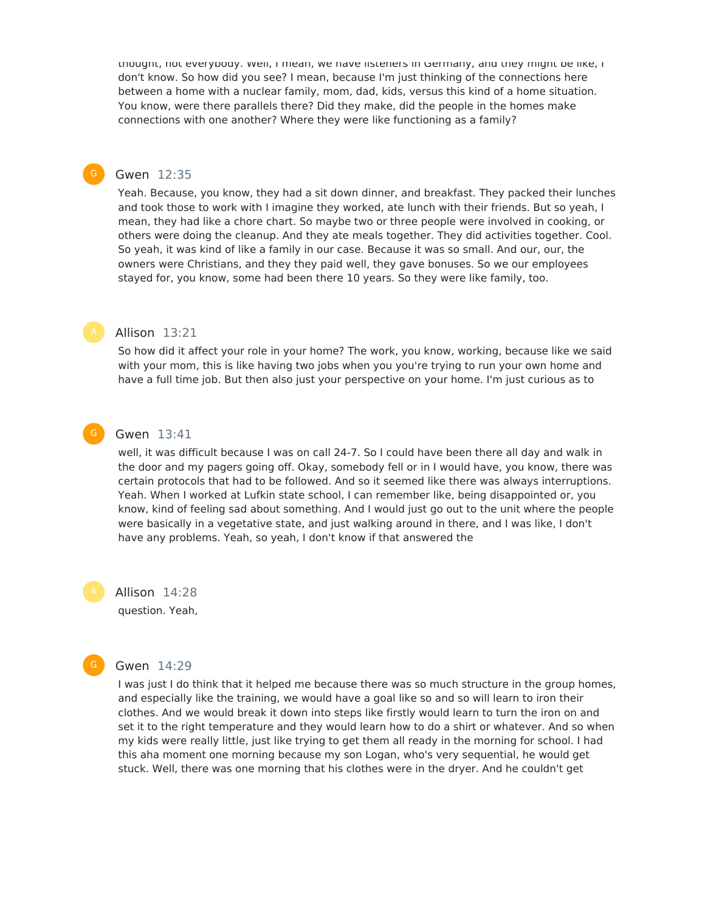thought, not everybody. Well, I mean, we have listeners in Germany, and they might be like, I don't know. So how did you see? I mean, because I'm just thinking of the connections here between a home with a nuclear family, mom, dad, kids, versus this kind of a home situation. You know, were there parallels there? Did they make, did the people in the homes make connections with one another? Where they were like functioning as a family?

# Gwen 12:35

Yeah. Because, you know, they had a sit down dinner, and breakfast. They packed their lunches and took those to work with I imagine they worked, ate lunch with their friends. But so yeah, I mean, they had like a chore chart. So maybe two or three people were involved in cooking, or others were doing the cleanup. And they ate meals together. They did activities together. Cool. So yeah, it was kind of like a family in our case. Because it was so small. And our, our, the owners were Christians, and they they paid well, they gave bonuses. So we our employees stayed for, you know, some had been there 10 years. So they were like family, too.

# Allison 13:21

So how did it affect your role in your home? The work, you know, working, because like we said with your mom, this is like having two jobs when you you're trying to run your own home and have a full time job. But then also just your perspective on your home. I'm just curious as to



#### Gwen 13:41

well, it was difficult because I was on call 24-7. So I could have been there all day and walk in the door and my pagers going off. Okay, somebody fell or in I would have, you know, there was certain protocols that had to be followed. And so it seemed like there was always interruptions. Yeah. When I worked at Lufkin state school, I can remember like, being disappointed or, you know, kind of feeling sad about something. And I would just go out to the unit where the people were basically in a vegetative state, and just walking around in there, and I was like, I don't have any problems. Yeah, so yeah, I don't know if that answered the

Allison 14:28 question. Yeah,



#### Gwen 14:29

I was just I do think that it helped me because there was so much structure in the group homes, and especially like the training, we would have a goal like so and so will learn to iron their clothes. And we would break it down into steps like firstly would learn to turn the iron on and set it to the right temperature and they would learn how to do a shirt or whatever. And so when my kids were really little, just like trying to get them all ready in the morning for school. I had this aha moment one morning because my son Logan, who's very sequential, he would get stuck. Well, there was one morning that his clothes were in the dryer. And he couldn't get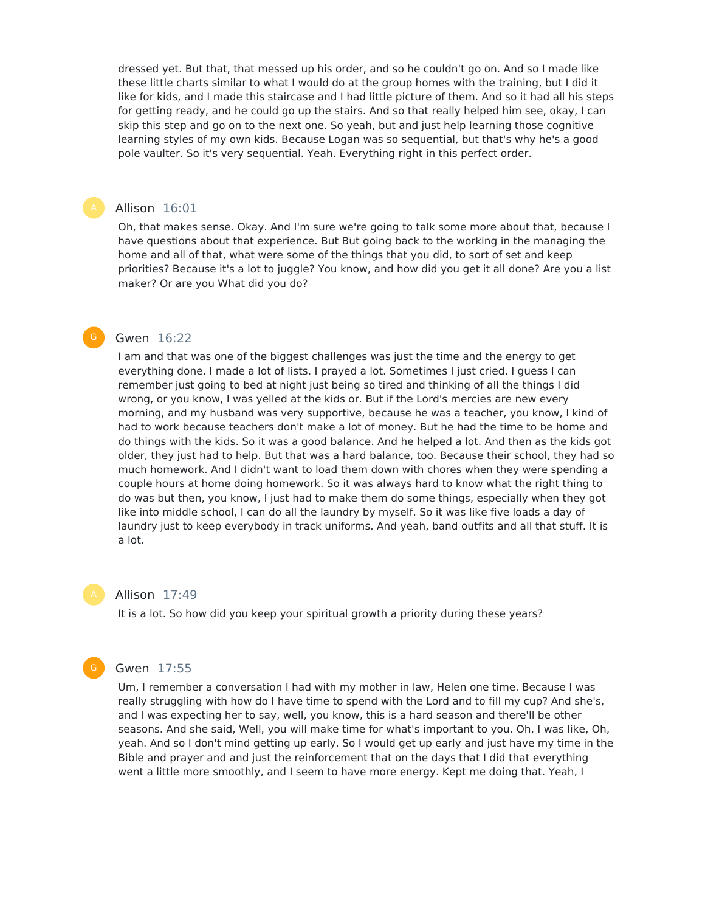dressed yet. But that, that messed up his order, and so he couldn't go on. And so I made like these little charts similar to what I would do at the group homes with the training, but I did it like for kids, and I made this staircase and I had little picture of them. And so it had all his steps for getting ready, and he could go up the stairs. And so that really helped him see, okay, I can skip this step and go on to the next one. So yeah, but and just help learning those cognitive learning styles of my own kids. Because Logan was so sequential, but that's why he's a good pole vaulter. So it's very sequential. Yeah. Everything right in this perfect order.

# Allison 16:01

Oh, that makes sense. Okay. And I'm sure we're going to talk some more about that, because I have questions about that experience. But But going back to the working in the managing the home and all of that, what were some of the things that you did, to sort of set and keep priorities? Because it's a lot to juggle? You know, and how did you get it all done? Are you a list maker? Or are you What did you do?

# Gwen 16:22

I am and that was one of the biggest challenges was just the time and the energy to get everything done. I made a lot of lists. I prayed a lot. Sometimes I just cried. I guess I can remember just going to bed at night just being so tired and thinking of all the things I did wrong, or you know, I was yelled at the kids or. But if the Lord's mercies are new every morning, and my husband was very supportive, because he was a teacher, you know, I kind of had to work because teachers don't make a lot of money. But he had the time to be home and do things with the kids. So it was a good balance. And he helped a lot. And then as the kids got older, they just had to help. But that was a hard balance, too. Because their school, they had so much homework. And I didn't want to load them down with chores when they were spending a couple hours at home doing homework. So it was always hard to know what the right thing to do was but then, you know, I just had to make them do some things, especially when they got like into middle school, I can do all the laundry by myself. So it was like five loads a day of laundry just to keep everybody in track uniforms. And yeah, band outfits and all that stuff. It is a lot.

### Allison 17:49

It is a lot. So how did you keep your spiritual growth a priority during these years?

#### Gwen 17:55

Um, I remember a conversation I had with my mother in law, Helen one time. Because I was really struggling with how do I have time to spend with the Lord and to fill my cup? And she's, and I was expecting her to say, well, you know, this is a hard season and there'll be other seasons. And she said, Well, you will make time for what's important to you. Oh, I was like, Oh, yeah. And so I don't mind getting up early. So I would get up early and just have my time in the Bible and prayer and and just the reinforcement that on the days that I did that everything went a little more smoothly, and I seem to have more energy. Kept me doing that. Yeah, I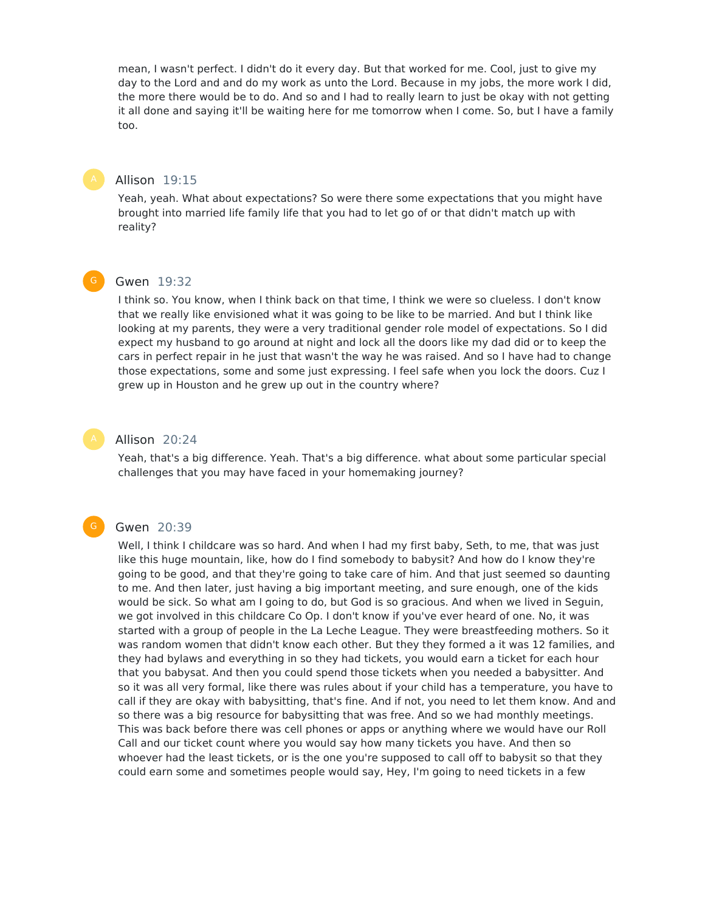mean, I wasn't perfect. I didn't do it every day. But that worked for me. Cool, just to give my day to the Lord and and do my work as unto the Lord. Because in my jobs, the more work I did, the more there would be to do. And so and I had to really learn to just be okay with not getting it all done and saying it'll be waiting here for me tomorrow when I come. So, but I have a family too.

# Allison 19:15

Yeah, yeah. What about expectations? So were there some expectations that you might have brought into married life family life that you had to let go of or that didn't match up with reality?



# Gwen 19:32

I think so. You know, when I think back on that time, I think we were so clueless. I don't know that we really like envisioned what it was going to be like to be married. And but I think like looking at my parents, they were a very traditional gender role model of expectations. So I did expect my husband to go around at night and lock all the doors like my dad did or to keep the cars in perfect repair in he just that wasn't the way he was raised. And so I have had to change those expectations, some and some just expressing. I feel safe when you lock the doors. Cuz I grew up in Houston and he grew up out in the country where?

# Allison 20:24

Yeah, that's a big difference. Yeah. That's a big difference. what about some particular special challenges that you may have faced in your homemaking journey?

#### G

#### Gwen 20:39

Well, I think I childcare was so hard. And when I had my first baby, Seth, to me, that was just like this huge mountain, like, how do I find somebody to babysit? And how do I know they're going to be good, and that they're going to take care of him. And that just seemed so daunting to me. And then later, just having a big important meeting, and sure enough, one of the kids would be sick. So what am I going to do, but God is so gracious. And when we lived in Seguin, we got involved in this childcare Co Op. I don't know if you've ever heard of one. No, it was started with a group of people in the La Leche League. They were breastfeeding mothers. So it was random women that didn't know each other. But they they formed a it was 12 families, and they had bylaws and everything in so they had tickets, you would earn a ticket for each hour that you babysat. And then you could spend those tickets when you needed a babysitter. And so it was all very formal, like there was rules about if your child has a temperature, you have to call if they are okay with babysitting, that's fine. And if not, you need to let them know. And and so there was a big resource for babysitting that was free. And so we had monthly meetings. This was back before there was cell phones or apps or anything where we would have our Roll Call and our ticket count where you would say how many tickets you have. And then so whoever had the least tickets, or is the one you're supposed to call off to babysit so that they could earn some and sometimes people would say, Hey, I'm going to need tickets in a few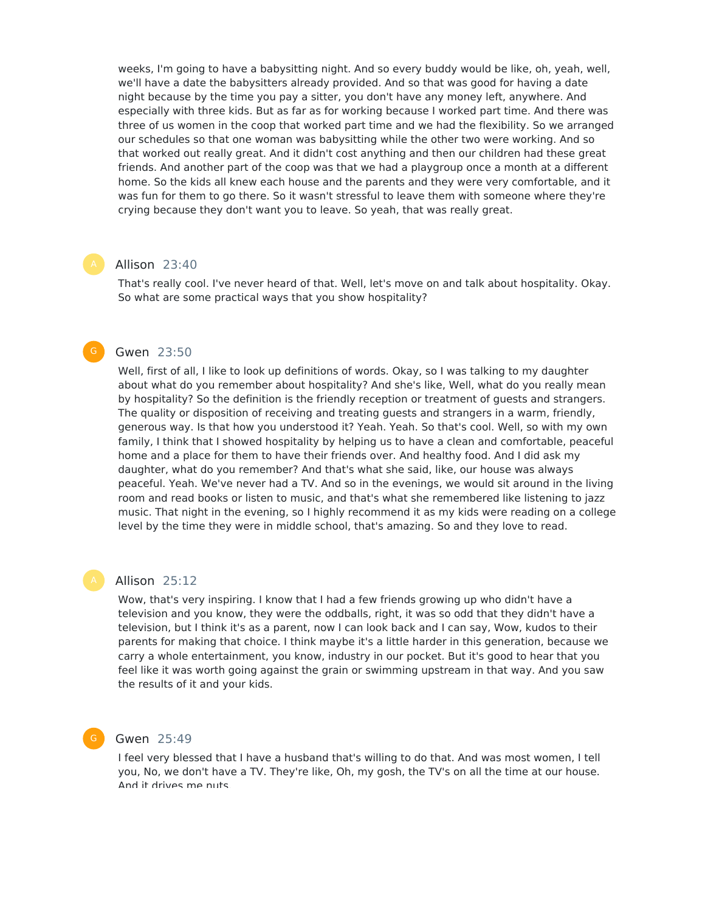weeks, I'm going to have a babysitting night. And so every buddy would be like, oh, yeah, well, we'll have a date the babysitters already provided. And so that was good for having a date night because by the time you pay a sitter, you don't have any money left, anywhere. And especially with three kids. But as far as for working because I worked part time. And there was three of us women in the coop that worked part time and we had the flexibility. So we arranged our schedules so that one woman was babysitting while the other two were working. And so that worked out really great. And it didn't cost anything and then our children had these great friends. And another part of the coop was that we had a playgroup once a month at a different home. So the kids all knew each house and the parents and they were very comfortable, and it was fun for them to go there. So it wasn't stressful to leave them with someone where they're crying because they don't want you to leave. So yeah, that was really great.

# Allison 23:40

That's really cool. I've never heard of that. Well, let's move on and talk about hospitality. Okay. So what are some practical ways that you show hospitality?

# Gwen 23:50

Well, first of all, I like to look up definitions of words. Okay, so I was talking to my daughter about what do you remember about hospitality? And she's like, Well, what do you really mean by hospitality? So the definition is the friendly reception or treatment of guests and strangers. The quality or disposition of receiving and treating guests and strangers in a warm, friendly, generous way. Is that how you understood it? Yeah. Yeah. So that's cool. Well, so with my own family, I think that I showed hospitality by helping us to have a clean and comfortable, peaceful home and a place for them to have their friends over. And healthy food. And I did ask my daughter, what do you remember? And that's what she said, like, our house was always peaceful. Yeah. We've never had a TV. And so in the evenings, we would sit around in the living room and read books or listen to music, and that's what she remembered like listening to jazz music. That night in the evening, so I highly recommend it as my kids were reading on a college level by the time they were in middle school, that's amazing. So and they love to read.

### Allison 25:12

Wow, that's very inspiring. I know that I had a few friends growing up who didn't have a television and you know, they were the oddballs, right, it was so odd that they didn't have a television, but I think it's as a parent, now I can look back and I can say, Wow, kudos to their parents for making that choice. I think maybe it's a little harder in this generation, because we carry a whole entertainment, you know, industry in our pocket. But it's good to hear that you feel like it was worth going against the grain or swimming upstream in that way. And you saw the results of it and your kids.

#### G

# Gwen 25:49

I feel very blessed that I have a husband that's willing to do that. And was most women, I tell you, No, we don't have a TV. They're like, Oh, my gosh, the TV's on all the time at our house. And it drives me nuts.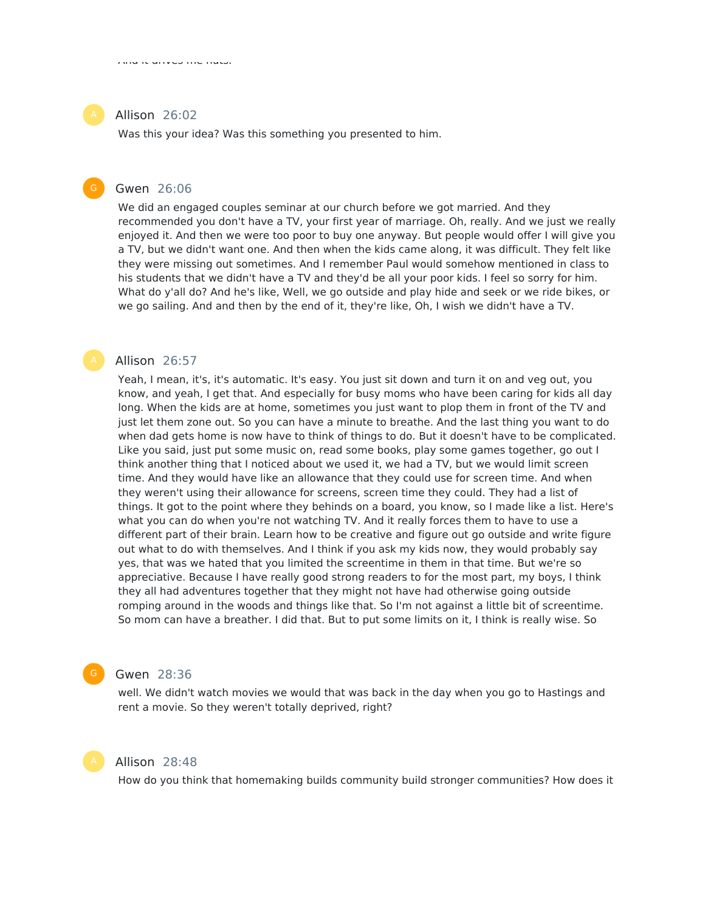# Allison 26:02

Was this your idea? Was this something you presented to him.

# Gwen 26:06

We did an engaged couples seminar at our church before we got married. And they recommended you don't have a TV, your first year of marriage. Oh, really. And we just we really enjoyed it. And then we were too poor to buy one anyway. But people would offer I will give you a TV, but we didn't want one. And then when the kids came along, it was difficult. They felt like they were missing out sometimes. And I remember Paul would somehow mentioned in class to his students that we didn't have a TV and they'd be all your poor kids. I feel so sorry for him. What do y'all do? And he's like, Well, we go outside and play hide and seek or we ride bikes, or we go sailing. And and then by the end of it, they're like, Oh, I wish we didn't have a TV.

### Allison 26:57

Yeah, I mean, it's, it's automatic. It's easy. You just sit down and turn it on and veg out, you know, and yeah, I get that. And especially for busy moms who have been caring for kids all day long. When the kids are at home, sometimes you just want to plop them in front of the TV and just let them zone out. So you can have a minute to breathe. And the last thing you want to do when dad gets home is now have to think of things to do. But it doesn't have to be complicated. Like you said, just put some music on, read some books, play some games together, go out I think another thing that I noticed about we used it, we had a TV, but we would limit screen time. And they would have like an allowance that they could use for screen time. And when they weren't using their allowance for screens, screen time they could. They had a list of things. It got to the point where they behinds on a board, you know, so I made like a list. Here's what you can do when you're not watching TV. And it really forces them to have to use a different part of their brain. Learn how to be creative and figure out go outside and write figure out what to do with themselves. And I think if you ask my kids now, they would probably say yes, that was we hated that you limited the screentime in them in that time. But we're so appreciative. Because I have really good strong readers to for the most part, my boys, I think they all had adventures together that they might not have had otherwise going outside romping around in the woods and things like that. So I'm not against a little bit of screentime. So mom can have a breather. I did that. But to put some limits on it, I think is really wise. So



# Gwen 28:36

well. We didn't watch movies we would that was back in the day when you go to Hastings and rent a movie. So they weren't totally deprived, right?



# Allison 28:48

How do you think that homemaking builds community build stronger communities? How does it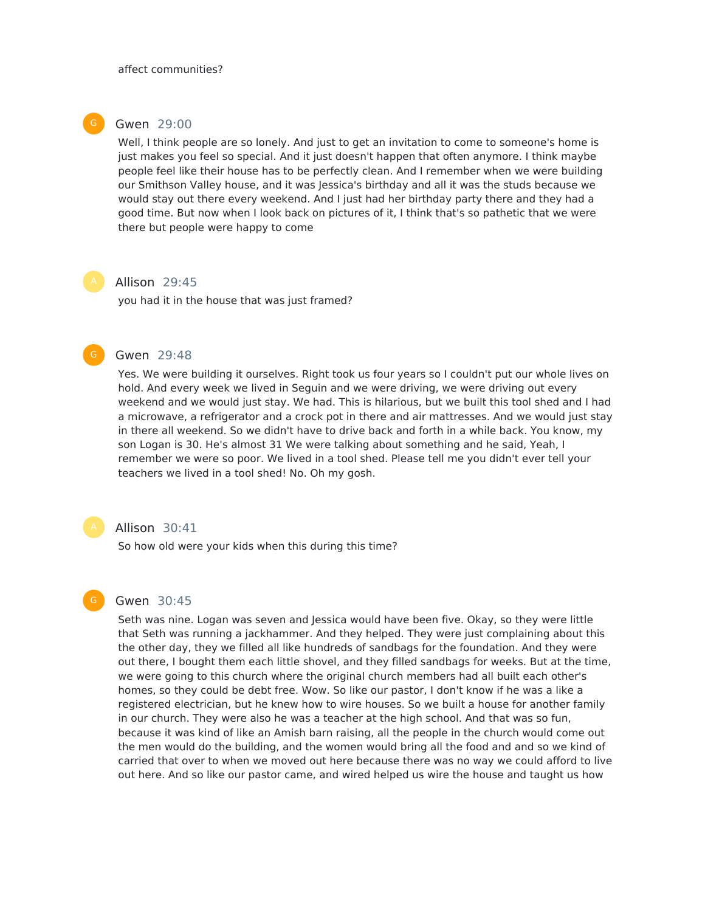

### Gwen 29:00

Well, I think people are so lonely. And just to get an invitation to come to someone's home is just makes you feel so special. And it just doesn't happen that often anymore. I think maybe people feel like their house has to be perfectly clean. And I remember when we were building our Smithson Valley house, and it was Jessica's birthday and all it was the studs because we would stay out there every weekend. And I just had her birthday party there and they had a good time. But now when I look back on pictures of it, I think that's so pathetic that we were there but people were happy to come

### Allison 29:45

you had it in the house that was just framed?

# Gwen 29:48

Yes. We were building it ourselves. Right took us four years so I couldn't put our whole lives on hold. And every week we lived in Seguin and we were driving, we were driving out every weekend and we would just stay. We had. This is hilarious, but we built this tool shed and I had a microwave, a refrigerator and a crock pot in there and air mattresses. And we would just stay in there all weekend. So we didn't have to drive back and forth in a while back. You know, my son Logan is 30. He's almost 31 We were talking about something and he said, Yeah, I remember we were so poor. We lived in a tool shed. Please tell me you didn't ever tell your teachers we lived in a tool shed! No. Oh my gosh.

### Allison 30:41

So how old were your kids when this during this time?

# Gwen 30:45

Seth was nine. Logan was seven and Jessica would have been five. Okay, so they were little that Seth was running a jackhammer. And they helped. They were just complaining about this the other day, they we filled all like hundreds of sandbags for the foundation. And they were out there, I bought them each little shovel, and they filled sandbags for weeks. But at the time, we were going to this church where the original church members had all built each other's homes, so they could be debt free. Wow. So like our pastor, I don't know if he was a like a registered electrician, but he knew how to wire houses. So we built a house for another family in our church. They were also he was a teacher at the high school. And that was so fun, because it was kind of like an Amish barn raising, all the people in the church would come out the men would do the building, and the women would bring all the food and and so we kind of carried that over to when we moved out here because there was no way we could afford to live out here. And so like our pastor came, and wired helped us wire the house and taught us how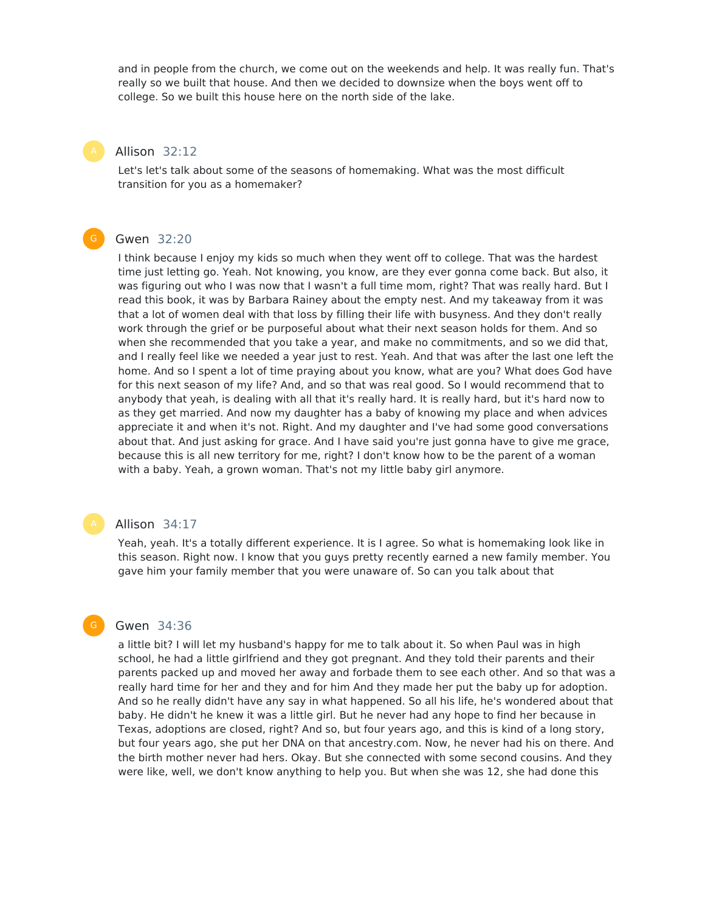and in people from the church, we come out on the weekends and help. It was really fun. That's really so we built that house. And then we decided to downsize when the boys went off to college. So we built this house here on the north side of the lake.

# Allison 32:12

Let's let's talk about some of the seasons of homemaking. What was the most difficult transition for you as a homemaker?

# Gwen 32:20

I think because I enjoy my kids so much when they went off to college. That was the hardest time just letting go. Yeah. Not knowing, you know, are they ever gonna come back. But also, it was figuring out who I was now that I wasn't a full time mom, right? That was really hard. But I read this book, it was by Barbara Rainey about the empty nest. And my takeaway from it was that a lot of women deal with that loss by filling their life with busyness. And they don't really work through the grief or be purposeful about what their next season holds for them. And so when she recommended that you take a year, and make no commitments, and so we did that, and I really feel like we needed a year just to rest. Yeah. And that was after the last one left the home. And so I spent a lot of time praying about you know, what are you? What does God have for this next season of my life? And, and so that was real good. So I would recommend that to anybody that yeah, is dealing with all that it's really hard. It is really hard, but it's hard now to as they get married. And now my daughter has a baby of knowing my place and when advices appreciate it and when it's not. Right. And my daughter and I've had some good conversations about that. And just asking for grace. And I have said you're just gonna have to give me grace, because this is all new territory for me, right? I don't know how to be the parent of a woman with a baby. Yeah, a grown woman. That's not my little baby girl anymore.

# Allison 34:17

Yeah, yeah. It's a totally different experience. It is I agree. So what is homemaking look like in this season. Right now. I know that you guys pretty recently earned a new family member. You gave him your family member that you were unaware of. So can you talk about that

# Gwen 34:36

G

a little bit? I will let my husband's happy for me to talk about it. So when Paul was in high school, he had a little girlfriend and they got pregnant. And they told their parents and their parents packed up and moved her away and forbade them to see each other. And so that was a really hard time for her and they and for him And they made her put the baby up for adoption. And so he really didn't have any say in what happened. So all his life, he's wondered about that baby. He didn't he knew it was a little girl. But he never had any hope to find her because in Texas, adoptions are closed, right? And so, but four years ago, and this is kind of a long story, but four years ago, she put her DNA on that ancestry.com. Now, he never had his on there. And the birth mother never had hers. Okay. But she connected with some second cousins. And they were like, well, we don't know anything to help you. But when she was 12, she had done this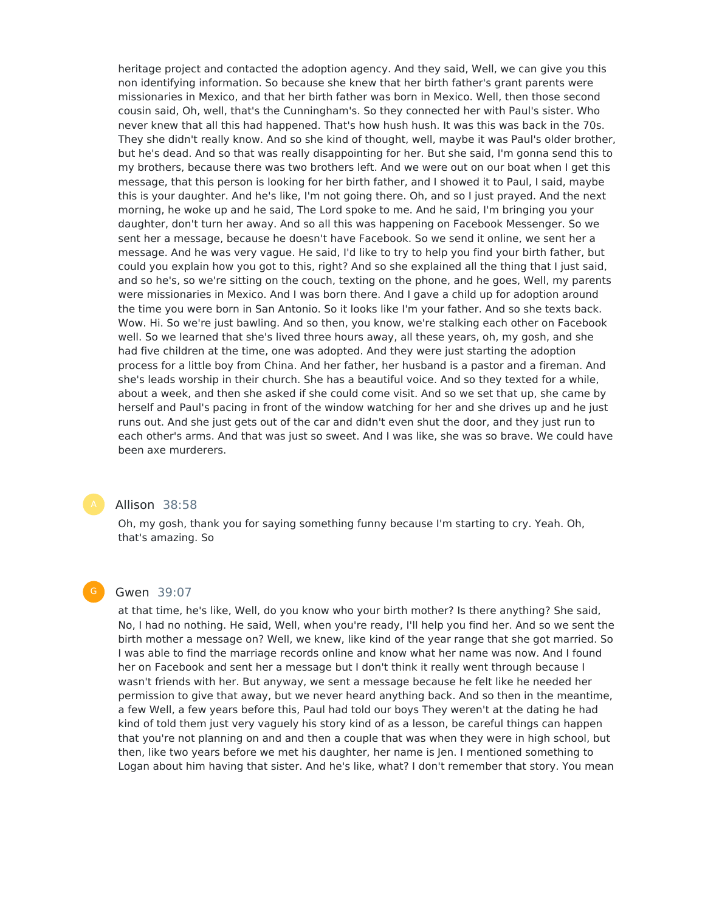heritage project and contacted the adoption agency. And they said, Well, we can give you this non identifying information. So because she knew that her birth father's grant parents were missionaries in Mexico, and that her birth father was born in Mexico. Well, then those second cousin said, Oh, well, that's the Cunningham's. So they connected her with Paul's sister. Who never knew that all this had happened. That's how hush hush. It was this was back in the 70s. They she didn't really know. And so she kind of thought, well, maybe it was Paul's older brother, but he's dead. And so that was really disappointing for her. But she said, I'm gonna send this to my brothers, because there was two brothers left. And we were out on our boat when I get this message, that this person is looking for her birth father, and I showed it to Paul, I said, maybe this is your daughter. And he's like, I'm not going there. Oh, and so I just prayed. And the next morning, he woke up and he said, The Lord spoke to me. And he said, I'm bringing you your daughter, don't turn her away. And so all this was happening on Facebook Messenger. So we sent her a message, because he doesn't have Facebook. So we send it online, we sent her a message. And he was very vague. He said, I'd like to try to help you find your birth father, but could you explain how you got to this, right? And so she explained all the thing that I just said, and so he's, so we're sitting on the couch, texting on the phone, and he goes, Well, my parents were missionaries in Mexico. And I was born there. And I gave a child up for adoption around the time you were born in San Antonio. So it looks like I'm your father. And so she texts back. Wow. Hi. So we're just bawling. And so then, you know, we're stalking each other on Facebook well. So we learned that she's lived three hours away, all these years, oh, my gosh, and she had five children at the time, one was adopted. And they were just starting the adoption process for a little boy from China. And her father, her husband is a pastor and a fireman. And she's leads worship in their church. She has a beautiful voice. And so they texted for a while, about a week, and then she asked if she could come visit. And so we set that up, she came by herself and Paul's pacing in front of the window watching for her and she drives up and he just runs out. And she just gets out of the car and didn't even shut the door, and they just run to each other's arms. And that was just so sweet. And I was like, she was so brave. We could have been axe murderers.



# Allison 38:58

Oh, my gosh, thank you for saying something funny because I'm starting to cry. Yeah. Oh, that's amazing. So

#### G

### Gwen 39:07

at that time, he's like, Well, do you know who your birth mother? Is there anything? She said, No, I had no nothing. He said, Well, when you're ready, I'll help you find her. And so we sent the birth mother a message on? Well, we knew, like kind of the year range that she got married. So I was able to find the marriage records online and know what her name was now. And I found her on Facebook and sent her a message but I don't think it really went through because I wasn't friends with her. But anyway, we sent a message because he felt like he needed her permission to give that away, but we never heard anything back. And so then in the meantime, a few Well, a few years before this, Paul had told our boys They weren't at the dating he had kind of told them just very vaguely his story kind of as a lesson, be careful things can happen that you're not planning on and and then a couple that was when they were in high school, but then, like two years before we met his daughter, her name is Jen. I mentioned something to Logan about him having that sister. And he's like, what? I don't remember that story. You mean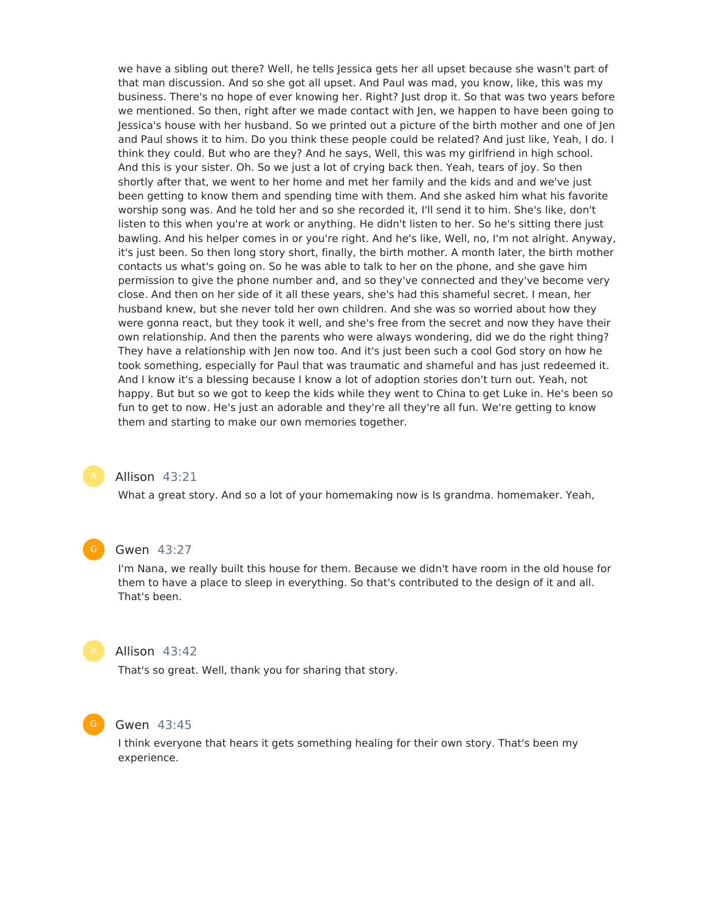we have a sibling out there? Well, he tells Jessica gets her all upset because she wasn't part of that man discussion. And so she got all upset. And Paul was mad, you know, like, this was my business. There's no hope of ever knowing her. Right? Just drop it. So that was two years before we mentioned. So then, right after we made contact with Jen, we happen to have been going to Jessica's house with her husband. So we printed out a picture of the birth mother and one of Jen and Paul shows it to him. Do you think these people could be related? And just like, Yeah, I do. I think they could. But who are they? And he says, Well, this was my girlfriend in high school. And this is your sister. Oh. So we just a lot of crying back then. Yeah, tears of joy. So then shortly after that, we went to her home and met her family and the kids and and we've just been getting to know them and spending time with them. And she asked him what his favorite worship song was. And he told her and so she recorded it, I'll send it to him. She's like, don't listen to this when you're at work or anything. He didn't listen to her. So he's sitting there just bawling. And his helper comes in or you're right. And he's like, Well, no, I'm not alright. Anyway, it's just been. So then long story short, finally, the birth mother. A month later, the birth mother contacts us what's going on. So he was able to talk to her on the phone, and she gave him permission to give the phone number and, and so they've connected and they've become very close. And then on her side of it all these years, she's had this shameful secret. I mean, her husband knew, but she never told her own children. And she was so worried about how they were gonna react, but they took it well, and she's free from the secret and now they have their own relationship. And then the parents who were always wondering, did we do the right thing? They have a relationship with Jen now too. And it's just been such a cool God story on how he took something, especially for Paul that was traumatic and shameful and has just redeemed it. And I know it's a blessing because I know a lot of adoption stories don't turn out. Yeah, not happy. But but so we got to keep the kids while they went to China to get Luke in. He's been so fun to get to now. He's just an adorable and they're all they're all fun. We're getting to know them and starting to make our own memories together.

#### Allison 43:21

What a great story. And so a lot of your homemaking now is Is grandma. homemaker. Yeah,

#### Gwen 43:27

I'm Nana, we really built this house for them. Because we didn't have room in the old house for them to have a place to sleep in everything. So that's contributed to the design of it and all. That's been.



# Allison 43:42

That's so great. Well, thank you for sharing that story.



#### Gwen 43:45

I think everyone that hears it gets something healing for their own story. That's been my experience.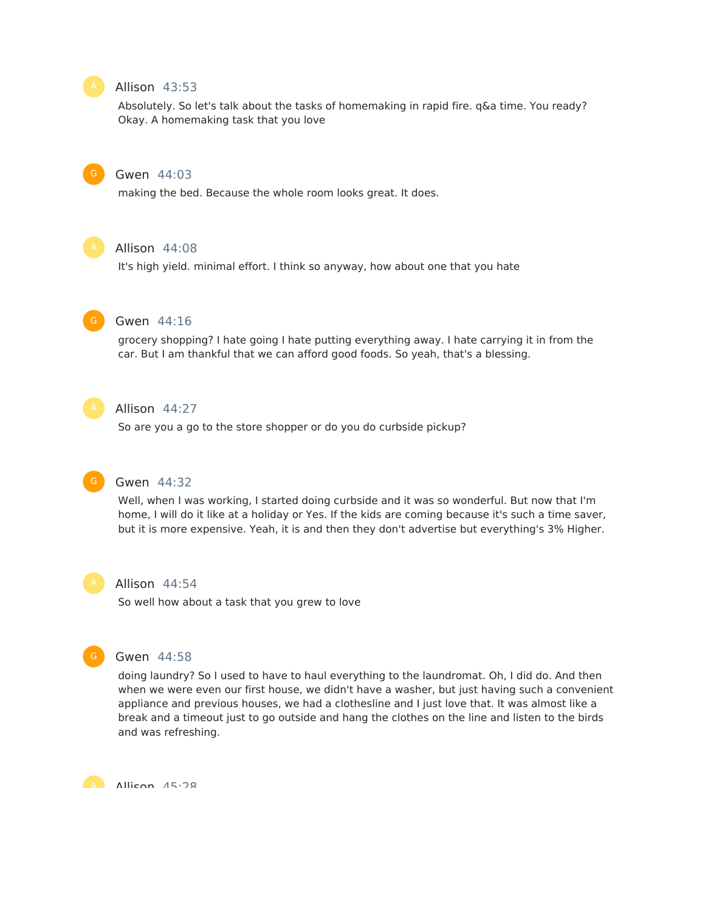# Allison 43:53

Absolutely. So let's talk about the tasks of homemaking in rapid fire. q&a time. You ready? Okay. A homemaking task that you love

#### Gwen 44:03

making the bed. Because the whole room looks great. It does.



#### Allison 44:08

It's high yield. minimal effort. I think so anyway, how about one that you hate



#### Gwen 44:16

grocery shopping? I hate going I hate putting everything away. I hate carrying it in from the car. But I am thankful that we can afford good foods. So yeah, that's a blessing.



# Allison 44:27

So are you a go to the store shopper or do you do curbside pickup?



# Gwen 44:32

Well, when I was working, I started doing curbside and it was so wonderful. But now that I'm home, I will do it like at a holiday or Yes. If the kids are coming because it's such a time saver, but it is more expensive. Yeah, it is and then they don't advertise but everything's 3% Higher.



### Allison 44:54

So well how about a task that you grew to love



#### Gwen 44:58

doing laundry? So I used to have to haul everything to the laundromat. Oh, I did do. And then when we were even our first house, we didn't have a washer, but just having such a convenient appliance and previous houses, we had a clothesline and I just love that. It was almost like a break and a timeout just to go outside and hang the clothes on the line and listen to the birds and was refreshing.



A Allican 15.28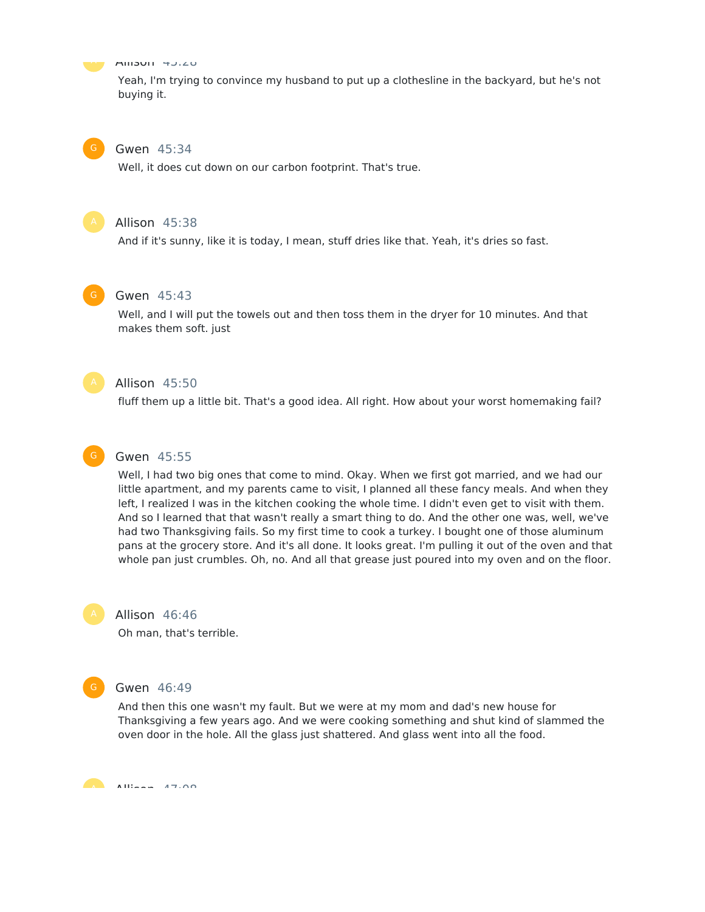

#### Allison 45:28

Yeah, I'm trying to convince my husband to put up a clothesline in the backyard, but he's not buying it.

### Gwen 45:34

Well, it does cut down on our carbon footprint. That's true.



# Allison 45:38

And if it's sunny, like it is today, I mean, stuff dries like that. Yeah, it's dries so fast.



# Gwen 45:43

Well, and I will put the towels out and then toss them in the dryer for 10 minutes. And that makes them soft. just



# Allison 45:50

fluff them up a little bit. That's a good idea. All right. How about your worst homemaking fail?



# Gwen 45:55

Well, I had two big ones that come to mind. Okay. When we first got married, and we had our little apartment, and my parents came to visit, I planned all these fancy meals. And when they left, I realized I was in the kitchen cooking the whole time. I didn't even get to visit with them. And so I learned that that wasn't really a smart thing to do. And the other one was, well, we've had two Thanksgiving fails. So my first time to cook a turkey. I bought one of those aluminum pans at the grocery store. And it's all done. It looks great. I'm pulling it out of the oven and that whole pan just crumbles. Oh, no. And all that grease just poured into my oven and on the floor.



#### Allison 46:46

Oh man, that's terrible.



#### Gwen 46:49

And then this one wasn't my fault. But we were at my mom and dad's new house for Thanksgiving a few years ago. And we were cooking something and shut kind of slammed the oven door in the hole. All the glass just shattered. And glass went into all the food.

Allison  $47.08$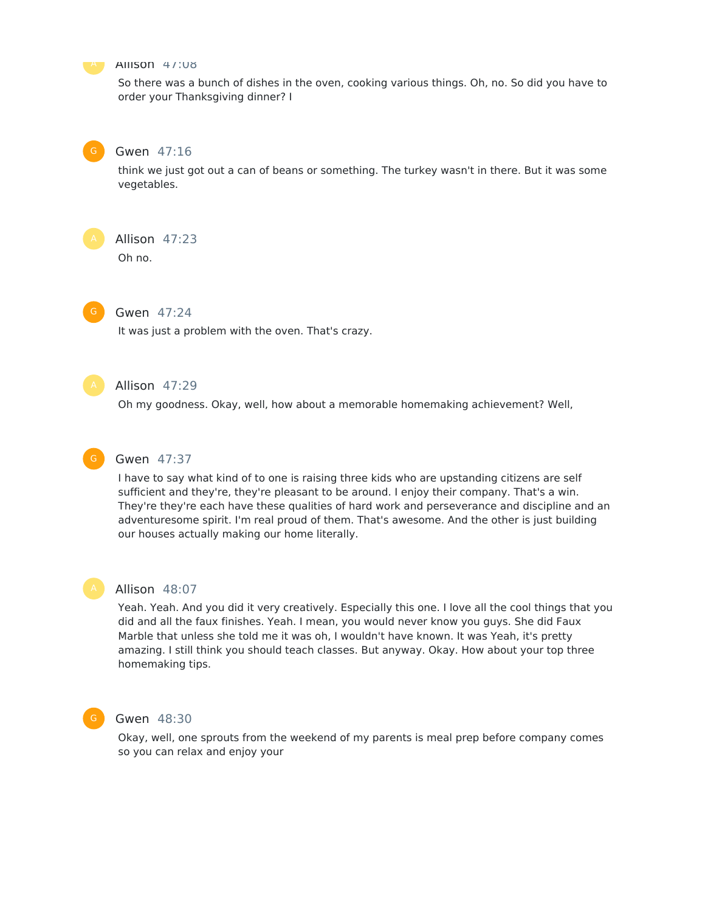

#### Allison 47:08

So there was a bunch of dishes in the oven, cooking various things. Oh, no. So did you have to order your Thanksgiving dinner? I



# Gwen 47:16

think we just got out a can of beans or something. The turkey wasn't in there. But it was some vegetables.

Allison 47:23

Oh no.

# Gwen 47:24

It was just a problem with the oven. That's crazy.



# Allison 47:29

Oh my goodness. Okay, well, how about a memorable homemaking achievement? Well,



# Gwen 47:37

I have to say what kind of to one is raising three kids who are upstanding citizens are self sufficient and they're, they're pleasant to be around. I enjoy their company. That's a win. They're they're each have these qualities of hard work and perseverance and discipline and an adventuresome spirit. I'm real proud of them. That's awesome. And the other is just building our houses actually making our home literally.



### Allison 48:07

Yeah. Yeah. And you did it very creatively. Especially this one. I love all the cool things that you did and all the faux finishes. Yeah. I mean, you would never know you guys. She did Faux Marble that unless she told me it was oh, I wouldn't have known. It was Yeah, it's pretty amazing. I still think you should teach classes. But anyway. Okay. How about your top three homemaking tips.



#### Gwen 48:30

Okay, well, one sprouts from the weekend of my parents is meal prep before company comes so you can relax and enjoy your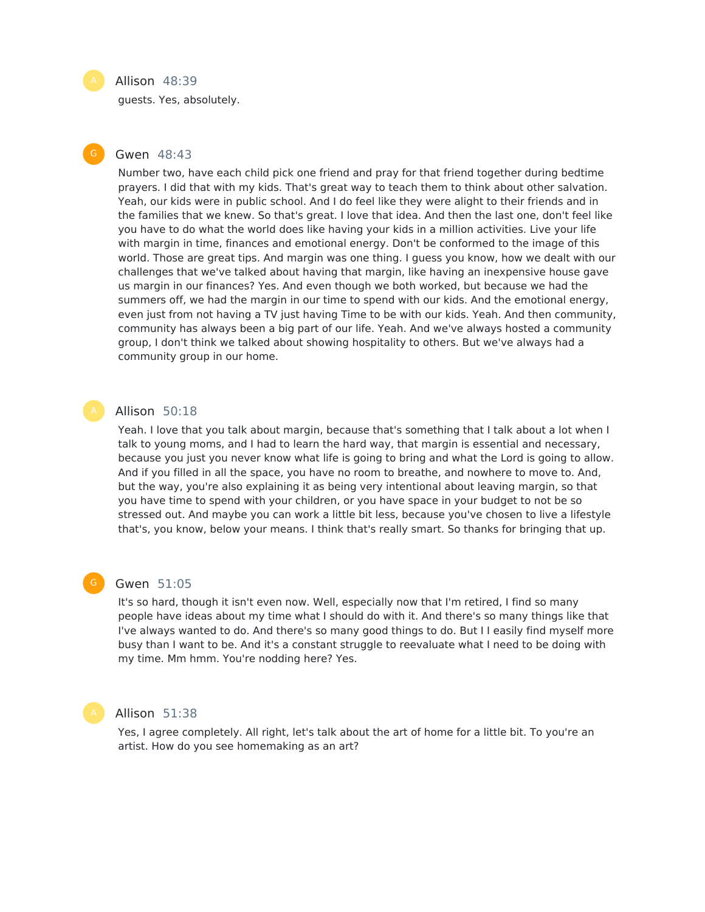#### Allison 48:39

guests. Yes, absolutely.

# Gwen 48:43

Number two, have each child pick one friend and pray for that friend together during bedtime prayers. I did that with my kids. That's great way to teach them to think about other salvation. Yeah, our kids were in public school. And I do feel like they were alight to their friends and in the families that we knew. So that's great. I love that idea. And then the last one, don't feel like you have to do what the world does like having your kids in a million activities. Live your life with margin in time, finances and emotional energy. Don't be conformed to the image of this world. Those are great tips. And margin was one thing. I guess you know, how we dealt with our challenges that we've talked about having that margin, like having an inexpensive house gave us margin in our finances? Yes. And even though we both worked, but because we had the summers off, we had the margin in our time to spend with our kids. And the emotional energy, even just from not having a TV just having Time to be with our kids. Yeah. And then community, community has always been a big part of our life. Yeah. And we've always hosted a community group, I don't think we talked about showing hospitality to others. But we've always had a community group in our home.

#### Allison 50:18

Yeah. I love that you talk about margin, because that's something that I talk about a lot when I talk to young moms, and I had to learn the hard way, that margin is essential and necessary, because you just you never know what life is going to bring and what the Lord is going to allow. And if you filled in all the space, you have no room to breathe, and nowhere to move to. And, but the way, you're also explaining it as being very intentional about leaving margin, so that you have time to spend with your children, or you have space in your budget to not be so stressed out. And maybe you can work a little bit less, because you've chosen to live a lifestyle that's, you know, below your means. I think that's really smart. So thanks for bringing that up.

### Gwen 51:05

It's so hard, though it isn't even now. Well, especially now that I'm retired, I find so many people have ideas about my time what I should do with it. And there's so many things like that I've always wanted to do. And there's so many good things to do. But I I easily find myself more busy than I want to be. And it's a constant struggle to reevaluate what I need to be doing with my time. Mm hmm. You're nodding here? Yes.



# Allison 51:38

Yes, I agree completely. All right, let's talk about the art of home for a little bit. To you're an artist. How do you see homemaking as an art?

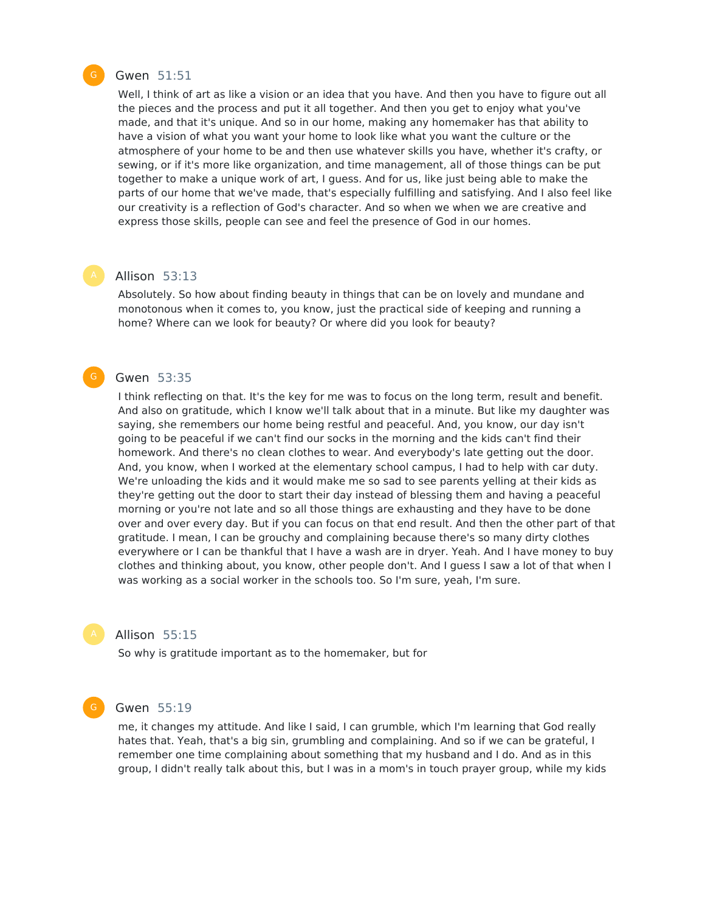

# Gwen 51:51

Well, I think of art as like a vision or an idea that you have. And then you have to figure out all the pieces and the process and put it all together. And then you get to enjoy what you've made, and that it's unique. And so in our home, making any homemaker has that ability to have a vision of what you want your home to look like what you want the culture or the atmosphere of your home to be and then use whatever skills you have, whether it's crafty, or sewing, or if it's more like organization, and time management, all of those things can be put together to make a unique work of art, I guess. And for us, like just being able to make the parts of our home that we've made, that's especially fulfilling and satisfying. And I also feel like our creativity is a reflection of God's character. And so when we when we are creative and express those skills, people can see and feel the presence of God in our homes.

#### Allison 53:13

Absolutely. So how about finding beauty in things that can be on lovely and mundane and monotonous when it comes to, you know, just the practical side of keeping and running a home? Where can we look for beauty? Or where did you look for beauty?

# Gwen 53:35

I think reflecting on that. It's the key for me was to focus on the long term, result and benefit. And also on gratitude, which I know we'll talk about that in a minute. But like my daughter was saying, she remembers our home being restful and peaceful. And, you know, our day isn't going to be peaceful if we can't find our socks in the morning and the kids can't find their homework. And there's no clean clothes to wear. And everybody's late getting out the door. And, you know, when I worked at the elementary school campus, I had to help with car duty. We're unloading the kids and it would make me so sad to see parents yelling at their kids as they're getting out the door to start their day instead of blessing them and having a peaceful morning or you're not late and so all those things are exhausting and they have to be done over and over every day. But if you can focus on that end result. And then the other part of that gratitude. I mean, I can be grouchy and complaining because there's so many dirty clothes everywhere or I can be thankful that I have a wash are in dryer. Yeah. And I have money to buy clothes and thinking about, you know, other people don't. And I guess I saw a lot of that when I was working as a social worker in the schools too. So I'm sure, yeah, I'm sure.



### Allison 55:15

So why is gratitude important as to the homemaker, but for



#### Gwen 55:19

me, it changes my attitude. And like I said, I can grumble, which I'm learning that God really hates that. Yeah, that's a big sin, grumbling and complaining. And so if we can be grateful, I remember one time complaining about something that my husband and I do. And as in this group, I didn't really talk about this, but I was in a mom's in touch prayer group, while my kids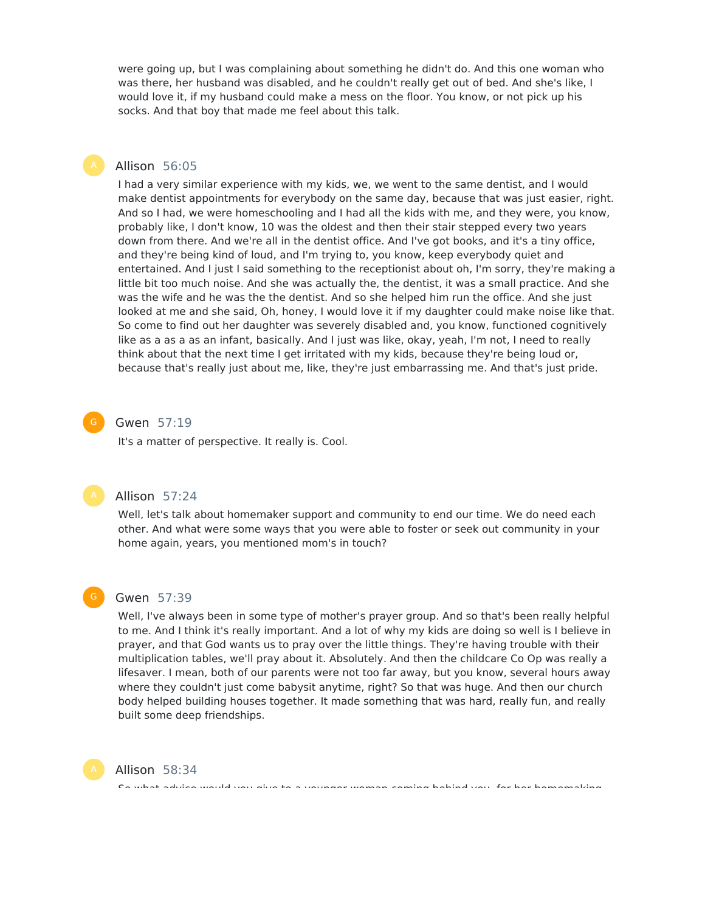were going up, but I was complaining about something he didn't do. And this one woman who was there, her husband was disabled, and he couldn't really get out of bed. And she's like, I would love it, if my husband could make a mess on the floor. You know, or not pick up his socks. And that boy that made me feel about this talk.

# Allison 56:05

I had a very similar experience with my kids, we, we went to the same dentist, and I would make dentist appointments for everybody on the same day, because that was just easier, right. And so I had, we were homeschooling and I had all the kids with me, and they were, you know, probably like, I don't know, 10 was the oldest and then their stair stepped every two years down from there. And we're all in the dentist office. And I've got books, and it's a tiny office, and they're being kind of loud, and I'm trying to, you know, keep everybody quiet and entertained. And I just I said something to the receptionist about oh, I'm sorry, they're making a little bit too much noise. And she was actually the, the dentist, it was a small practice. And she was the wife and he was the the dentist. And so she helped him run the office. And she just looked at me and she said, Oh, honey, I would love it if my daughter could make noise like that. So come to find out her daughter was severely disabled and, you know, functioned cognitively like as a as a as an infant, basically. And I just was like, okay, yeah, I'm not, I need to really think about that the next time I get irritated with my kids, because they're being loud or, because that's really just about me, like, they're just embarrassing me. And that's just pride.

# Gwen 57:19

It's a matter of perspective. It really is. Cool.

# Allison 57:24

Well, let's talk about homemaker support and community to end our time. We do need each other. And what were some ways that you were able to foster or seek out community in your home again, years, you mentioned mom's in touch?



# Gwen 57:39

Well, I've always been in some type of mother's prayer group. And so that's been really helpful to me. And I think it's really important. And a lot of why my kids are doing so well is I believe in prayer, and that God wants us to pray over the little things. They're having trouble with their multiplication tables, we'll pray about it. Absolutely. And then the childcare Co Op was really a lifesaver. I mean, both of our parents were not too far away, but you know, several hours away where they couldn't just come babysit anytime, right? So that was huge. And then our church body helped building houses together. It made something that was hard, really fun, and really built some deep friendships.

So what advice would you give to a younger woman coming behind you, for her homemaking



Allison 58:34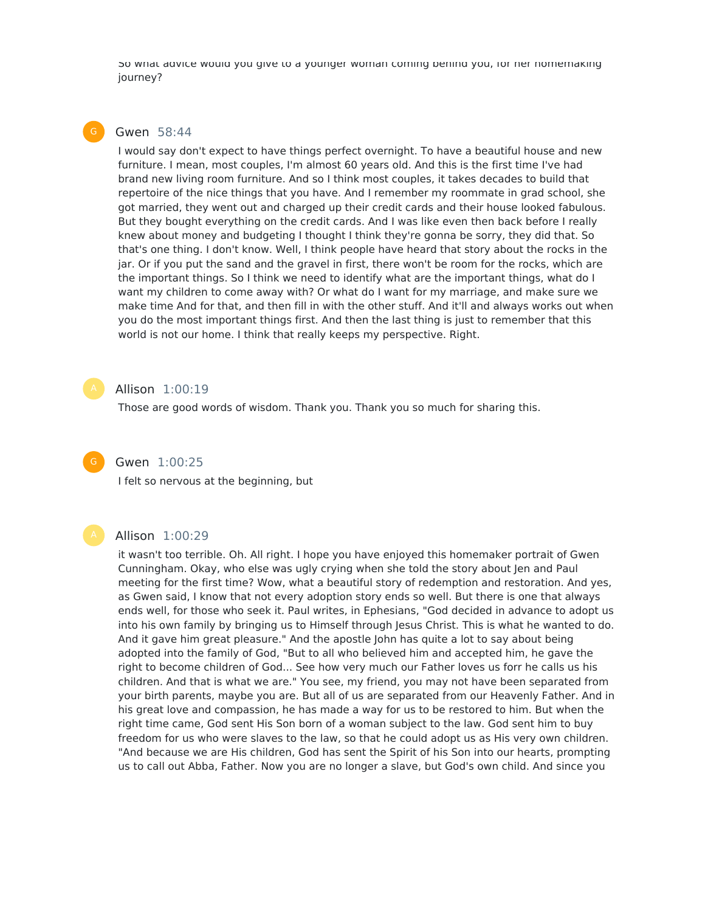So what advice would you give to a younger woman coming behind you, for her homemaking journey?

# Gwen 58:44

I would say don't expect to have things perfect overnight. To have a beautiful house and new furniture. I mean, most couples, I'm almost 60 years old. And this is the first time I've had brand new living room furniture. And so I think most couples, it takes decades to build that repertoire of the nice things that you have. And I remember my roommate in grad school, she got married, they went out and charged up their credit cards and their house looked fabulous. But they bought everything on the credit cards. And I was like even then back before I really knew about money and budgeting I thought I think they're gonna be sorry, they did that. So that's one thing. I don't know. Well, I think people have heard that story about the rocks in the jar. Or if you put the sand and the gravel in first, there won't be room for the rocks, which are the important things. So I think we need to identify what are the important things, what do I want my children to come away with? Or what do I want for my marriage, and make sure we make time And for that, and then fill in with the other stuff. And it'll and always works out when you do the most important things first. And then the last thing is just to remember that this world is not our home. I think that really keeps my perspective. Right.

# Allison 1:00:19

Those are good words of wisdom. Thank you. Thank you so much for sharing this.

# Gwen 1:00:25

I felt so nervous at the beginning, but

#### Allison 1:00:29

it wasn't too terrible. Oh. All right. I hope you have enjoyed this homemaker portrait of Gwen Cunningham. Okay, who else was ugly crying when she told the story about Jen and Paul meeting for the first time? Wow, what a beautiful story of redemption and restoration. And yes, as Gwen said, I know that not every adoption story ends so well. But there is one that always ends well, for those who seek it. Paul writes, in Ephesians, "God decided in advance to adopt us into his own family by bringing us to Himself through Jesus Christ. This is what he wanted to do. And it gave him great pleasure." And the apostle John has quite a lot to say about being adopted into the family of God, "But to all who believed him and accepted him, he gave the right to become children of God... See how very much our Father loves us forr he calls us his children. And that is what we are." You see, my friend, you may not have been separated from your birth parents, maybe you are. But all of us are separated from our Heavenly Father. And in his great love and compassion, he has made a way for us to be restored to him. But when the right time came, God sent His Son born of a woman subject to the law. God sent him to buy freedom for us who were slaves to the law, so that he could adopt us as His very own children. "And because we are His children, God has sent the Spirit of his Son into our hearts, prompting us to call out Abba, Father. Now you are no longer a slave, but God's own child. And since you